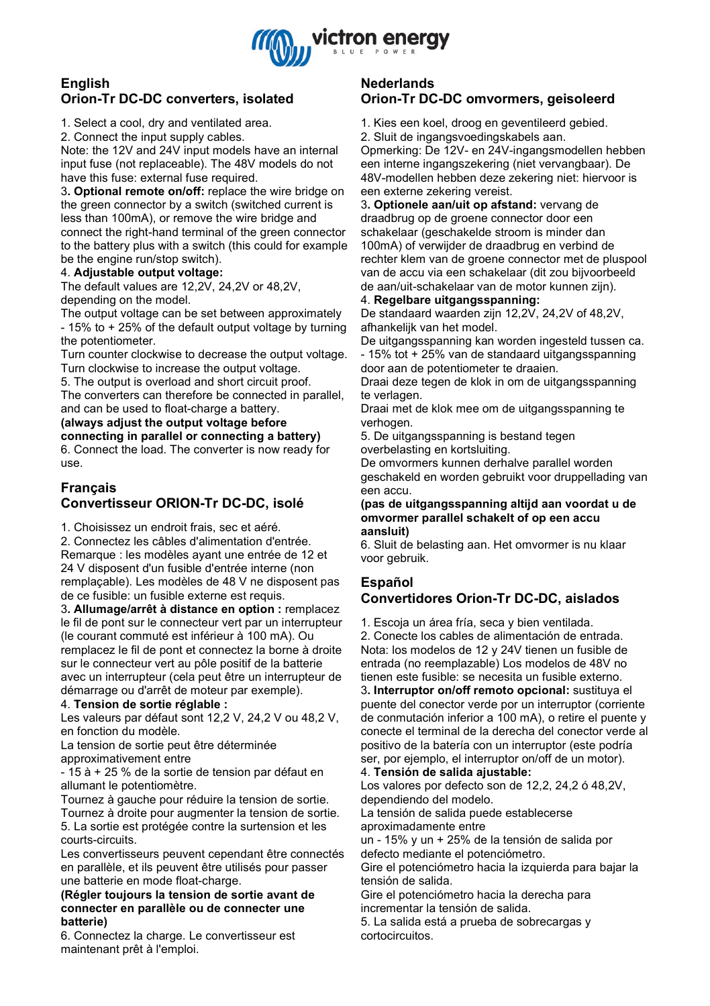

## **English Orion-Tr DC-DC converters, isolated**

1. Select a cool, dry and ventilated area.

2. Connect the input supply cables.

Note: the 12V and 24V input models have an internal input fuse (not replaceable). The 48V models do not have this fuse: external fuse required.

3**. Optional remote on/off:** replace the wire bridge on the green connector by a switch (switched current is less than 100mA), or remove the wire bridge and connect the right-hand terminal of the green connector to the battery plus with a switch (this could for example be the engine run/stop switch).

### 4. **Adjustable output voltage:**

The default values are 12,2V, 24,2V or 48,2V, depending on the model.

The output voltage can be set between approximately - 15% to + 25% of the default output voltage by turning the potentiometer.

Turn counter clockwise to decrease the output voltage. Turn clockwise to increase the output voltage.

5. The output is overload and short circuit proof. The converters can therefore be connected in parallel,

and can be used to float-charge a battery.

**(always adjust the output voltage before connecting in parallel or connecting a battery)** 6. Connect the load. The converter is now ready for use.

# **Français Convertisseur ORION-Tr DC-DC, isolé**

1. Choisissez un endroit frais, sec et aéré.

2. Connectez les câbles d'alimentation d'entrée. Remarque : les modèles ayant une entrée de 12 et 24 V disposent d'un fusible d'entrée interne (non remplaçable). Les modèles de 48 V ne disposent pas de ce fusible: un fusible externe est requis.

3**. Allumage/arrêt à distance en option :** remplacez le fil de pont sur le connecteur vert par un interrupteur (le courant commuté est inférieur à 100 mA). Ou remplacez le fil de pont et connectez la borne à droite sur le connecteur vert au pôle positif de la batterie avec un interrupteur (cela peut être un interrupteur de démarrage ou d'arrêt de moteur par exemple).

## 4. **Tension de sortie réglable :**

Les valeurs par défaut sont 12,2 V, 24,2 V ou 48,2 V, en fonction du modèle.

La tension de sortie peut être déterminée

approximativement entre

- 15 à + 25 % de la sortie de tension par défaut en allumant le potentiomètre.

Tournez à gauche pour réduire la tension de sortie. Tournez à droite pour augmenter la tension de sortie. 5. La sortie est protégée contre la surtension et les

courts-circuits. Les convertisseurs peuvent cependant être connectés

en parallèle, et ils peuvent être utilisés pour passer une batterie en mode float-charge.

**(Régler toujours la tension de sortie avant de connecter en parallèle ou de connecter une batterie)**

6. Connectez la charge. Le convertisseur est maintenant prêt à l'emploi.

# **Nederlands Orion-Tr DC-DC omvormers, geisoleerd**

1. Kies een koel, droog en geventileerd gebied.

2. Sluit de ingangsvoedingskabels aan. Opmerking: De 12V- en 24V-ingangsmodellen hebben een interne ingangszekering (niet vervangbaar). De 48V-modellen hebben deze zekering niet: hiervoor is een externe zekering vereist.

3**. Optionele aan/uit op afstand:** vervang de draadbrug op de groene connector door een schakelaar (geschakelde stroom is minder dan 100mA) of verwijder de draadbrug en verbind de rechter klem van de groene connector met de pluspool van de accu via een schakelaar (dit zou bijvoorbeeld de aan/uit-schakelaar van de motor kunnen zijn).

## 4. **Regelbare uitgangsspanning:**

De standaard waarden zijn 12,2V, 24,2V of 48,2V, afhankelijk van het model.

De uitgangsspanning kan worden ingesteld tussen ca. - 15% tot + 25% van de standaard uitgangsspanning door aan de potentiometer te draaien.

Draai deze tegen de klok in om de uitgangsspanning te verlagen.

Draai met de klok mee om de uitgangsspanning te verhogen.

5. De uitgangsspanning is bestand tegen overbelasting en kortsluiting.

De omvormers kunnen derhalve parallel worden geschakeld en worden gebruikt voor druppellading van een accu.

#### **(pas de uitgangsspanning altijd aan voordat u de omvormer parallel schakelt of op een accu aansluit)**

6. Sluit de belasting aan. Het omvormer is nu klaar voor gebruik.

# **Español**

# **Convertidores Orion-Tr DC-DC, aislados**

1. Escoja un área fría, seca y bien ventilada.

2. Conecte los cables de alimentación de entrada. Nota: los modelos de 12 y 24V tienen un fusible de entrada (no reemplazable) Los modelos de 48V no tienen este fusible: se necesita un fusible externo. 3**. Interruptor on/off remoto opcional:** sustituya el puente del conector verde por un interruptor (corriente de conmutación inferior a 100 mA), o retire el puente y conecte el terminal de la derecha del conector verde al positivo de la batería con un interruptor (este podría ser, por ejemplo, el interruptor on/off de un motor).

#### 4. **Tensión de salida ajustable:**

Los valores por defecto son de 12,2, 24,2 ó 48,2V, dependiendo del modelo.

La tensión de salida puede establecerse aproximadamente entre

un - 15% y un + 25% de la tensión de salida por defecto mediante el potenciómetro.

Gire el potenciómetro hacia la izquierda para bajar la tensión de salida.

Gire el potenciómetro hacia la derecha para incrementar la tensión de salida.

5. La salida está a prueba de sobrecargas y cortocircuitos.